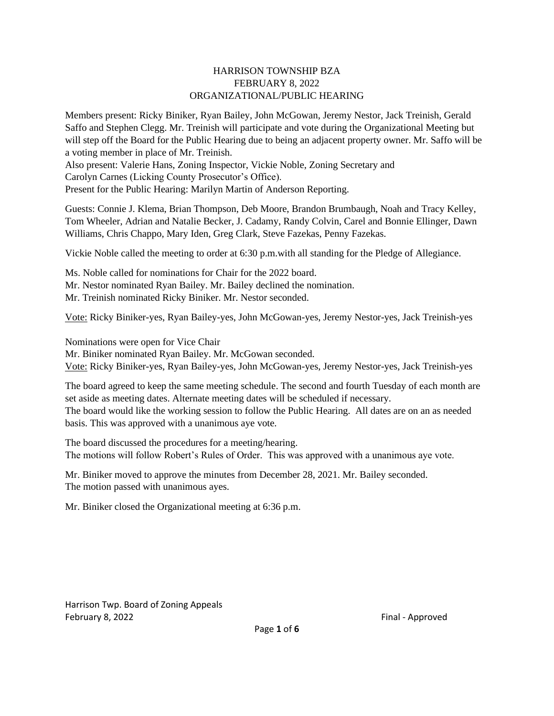#### HARRISON TOWNSHIP BZA FEBRUARY 8, 2022 ORGANIZATIONAL/PUBLIC HEARING

Members present: Ricky Biniker, Ryan Bailey, John McGowan, Jeremy Nestor, Jack Treinish, Gerald Saffo and Stephen Clegg. Mr. Treinish will participate and vote during the Organizational Meeting but will step off the Board for the Public Hearing due to being an adjacent property owner. Mr. Saffo will be a voting member in place of Mr. Treinish.

Also present: Valerie Hans, Zoning Inspector, Vickie Noble, Zoning Secretary and Carolyn Carnes (Licking County Prosecutor's Office).

Present for the Public Hearing: Marilyn Martin of Anderson Reporting.

Guests: Connie J. Klema, Brian Thompson, Deb Moore, Brandon Brumbaugh, Noah and Tracy Kelley, Tom Wheeler, Adrian and Natalie Becker, J. Cadamy, Randy Colvin, Carel and Bonnie Ellinger, Dawn Williams, Chris Chappo, Mary Iden, Greg Clark, Steve Fazekas, Penny Fazekas.

Vickie Noble called the meeting to order at 6:30 p.m.with all standing for the Pledge of Allegiance.

Ms. Noble called for nominations for Chair for the 2022 board. Mr. Nestor nominated Ryan Bailey. Mr. Bailey declined the nomination. Mr. Treinish nominated Ricky Biniker. Mr. Nestor seconded.

Vote: Ricky Biniker-yes, Ryan Bailey-yes, John McGowan-yes, Jeremy Nestor-yes, Jack Treinish-yes

Nominations were open for Vice Chair

Mr. Biniker nominated Ryan Bailey. Mr. McGowan seconded. Vote: Ricky Biniker-yes, Ryan Bailey-yes, John McGowan-yes, Jeremy Nestor-yes, Jack Treinish-yes

The board agreed to keep the same meeting schedule. The second and fourth Tuesday of each month are set aside as meeting dates. Alternate meeting dates will be scheduled if necessary. The board would like the working session to follow the Public Hearing. All dates are on an as needed basis. This was approved with a unanimous aye vote.

The board discussed the procedures for a meeting/hearing. The motions will follow Robert's Rules of Order. This was approved with a unanimous aye vote.

Mr. Biniker moved to approve the minutes from December 28, 2021. Mr. Bailey seconded. The motion passed with unanimous ayes.

Mr. Biniker closed the Organizational meeting at 6:36 p.m.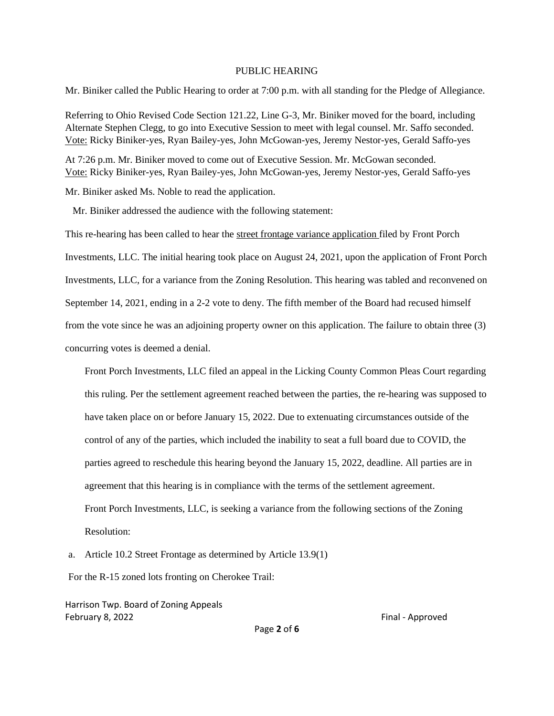#### PUBLIC HEARING

Mr. Biniker called the Public Hearing to order at 7:00 p.m. with all standing for the Pledge of Allegiance.

Referring to Ohio Revised Code Section 121.22, Line G-3, Mr. Biniker moved for the board, including Alternate Stephen Clegg, to go into Executive Session to meet with legal counsel. Mr. Saffo seconded. Vote: Ricky Biniker-yes, Ryan Bailey-yes, John McGowan-yes, Jeremy Nestor-yes, Gerald Saffo-yes

At 7:26 p.m. Mr. Biniker moved to come out of Executive Session. Mr. McGowan seconded. Vote: Ricky Biniker-yes, Ryan Bailey-yes, John McGowan-yes, Jeremy Nestor-yes, Gerald Saffo-yes

Mr. Biniker asked Ms. Noble to read the application.

Mr. Biniker addressed the audience with the following statement:

This re-hearing has been called to hear the street frontage variance application filed by Front Porch Investments, LLC. The initial hearing took place on August 24, 2021, upon the application of Front Porch Investments, LLC, for a variance from the Zoning Resolution. This hearing was tabled and reconvened on September 14, 2021, ending in a 2-2 vote to deny. The fifth member of the Board had recused himself from the vote since he was an adjoining property owner on this application. The failure to obtain three (3) concurring votes is deemed a denial.

Front Porch Investments, LLC filed an appeal in the Licking County Common Pleas Court regarding this ruling. Per the settlement agreement reached between the parties, the re-hearing was supposed to have taken place on or before January 15, 2022. Due to extenuating circumstances outside of the control of any of the parties, which included the inability to seat a full board due to COVID, the parties agreed to reschedule this hearing beyond the January 15, 2022, deadline. All parties are in agreement that this hearing is in compliance with the terms of the settlement agreement. Front Porch Investments, LLC, is seeking a variance from the following sections of the Zoning Resolution:

a. Article 10.2 Street Frontage as determined by Article 13.9(1)

For the R-15 zoned lots fronting on Cherokee Trail:

Harrison Twp. Board of Zoning Appeals February 8, 2022 **Final - Approved** 

Page **2** of **6**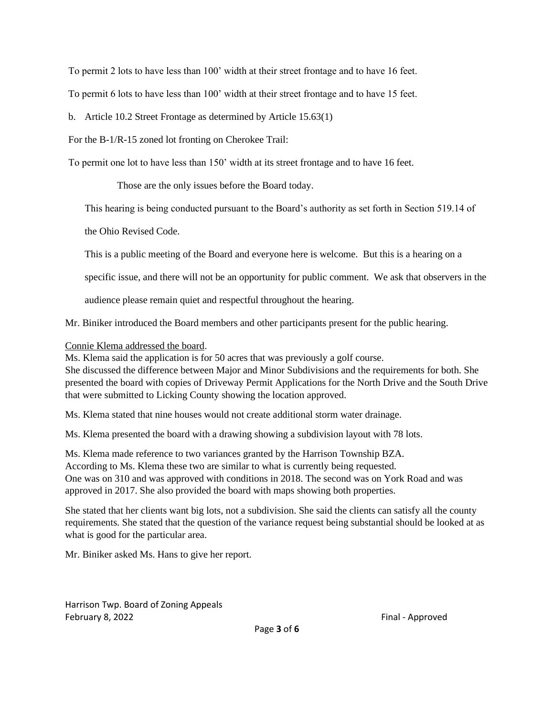To permit 2 lots to have less than 100' width at their street frontage and to have 16 feet.

To permit 6 lots to have less than 100' width at their street frontage and to have 15 feet.

b. Article 10.2 Street Frontage as determined by Article 15.63(1)

For the B-1/R-15 zoned lot fronting on Cherokee Trail:

To permit one lot to have less than 150' width at its street frontage and to have 16 feet.

Those are the only issues before the Board today.

This hearing is being conducted pursuant to the Board's authority as set forth in Section 519.14 of

the Ohio Revised Code.

This is a public meeting of the Board and everyone here is welcome. But this is a hearing on a

specific issue, and there will not be an opportunity for public comment. We ask that observers in the

audience please remain quiet and respectful throughout the hearing.

Mr. Biniker introduced the Board members and other participants present for the public hearing.

Connie Klema addressed the board.

Ms. Klema said the application is for 50 acres that was previously a golf course. She discussed the difference between Major and Minor Subdivisions and the requirements for both. She presented the board with copies of Driveway Permit Applications for the North Drive and the South Drive that were submitted to Licking County showing the location approved.

Ms. Klema stated that nine houses would not create additional storm water drainage.

Ms. Klema presented the board with a drawing showing a subdivision layout with 78 lots.

Ms. Klema made reference to two variances granted by the Harrison Township BZA. According to Ms. Klema these two are similar to what is currently being requested. One was on 310 and was approved with conditions in 2018. The second was on York Road and was approved in 2017. She also provided the board with maps showing both properties.

She stated that her clients want big lots, not a subdivision. She said the clients can satisfy all the county requirements. She stated that the question of the variance request being substantial should be looked at as what is good for the particular area.

Mr. Biniker asked Ms. Hans to give her report.

Harrison Twp. Board of Zoning Appeals February 8, 2022 **Final - Approved** Final - Approved

Page **3** of **6**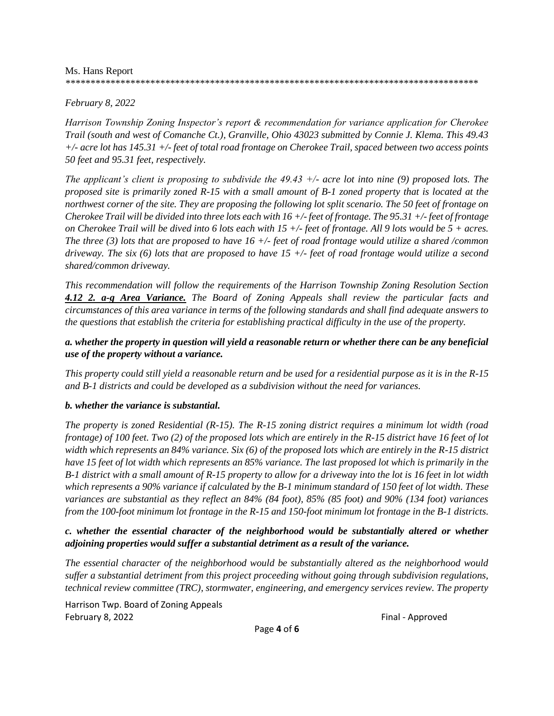#### Ms. Hans Report

#### *\*\*\*\*\*\*\*\*\*\*\*\*\*\*\*\*\*\*\*\*\*\*\*\*\*\*\*\*\*\*\*\*\*\*\*\*\*\*\*\*\*\*\*\*\*\*\*\*\*\*\*\*\*\*\*\*\*\*\*\*\*\*\*\*\*\*\*\*\*\*\*\*\*\*\*\*\*\*\*\*\*\*\**

## *February 8, 2022*

*Harrison Township Zoning Inspector's report & recommendation for variance application for Cherokee Trail (south and west of Comanche Ct.), Granville, Ohio 43023 submitted by Connie J. Klema. This 49.43 +/- acre lot has 145.31 +/- feet of total road frontage on Cherokee Trail, spaced between two access points 50 feet and 95.31 feet, respectively.* 

*The applicant's client is proposing to subdivide the 49.43 +/- acre lot into nine (9) proposed lots. The proposed site is primarily zoned R-15 with a small amount of B-1 zoned property that is located at the northwest corner of the site. They are proposing the following lot split scenario. The 50 feet of frontage on Cherokee Trail will be divided into three lots each with 16 +/- feet of frontage. The 95.31 +/- feet of frontage on Cherokee Trail will be dived into 6 lots each with 15 +/- feet of frontage. All 9 lots would be 5 + acres. The three (3) lots that are proposed to have 16 +/- feet of road frontage would utilize a shared /common driveway. The six (6) lots that are proposed to have 15 +/- feet of road frontage would utilize a second shared/common driveway.*

*This recommendation will follow the requirements of the Harrison Township Zoning Resolution Section 4.12 2. a-g Area Variance. The Board of Zoning Appeals shall review the particular facts and circumstances of this area variance in terms of the following standards and shall find adequate answers to the questions that establish the criteria for establishing practical difficulty in the use of the property.*

## *a. whether the property in question will yield a reasonable return or whether there can be any beneficial use of the property without a variance.*

*This property could still yield a reasonable return and be used for a residential purpose as it is in the R-15 and B-1 districts and could be developed as a subdivision without the need for variances.*

## *b. whether the variance is substantial.*

*The property is zoned Residential (R-15). The R-15 zoning district requires a minimum lot width (road frontage) of 100 feet. Two (2) of the proposed lots which are entirely in the R-15 district have 16 feet of lot width which represents an 84% variance. Six (6) of the proposed lots which are entirely in the R-15 district have 15 feet of lot width which represents an 85% variance. The last proposed lot which is primarily in the B-1 district with a small amount of R-15 property to allow for a driveway into the lot is 16 feet in lot width which represents a 90% variance if calculated by the B-1 minimum standard of 150 feet of lot width. These variances are substantial as they reflect an 84% (84 foot), 85% (85 foot) and 90% (134 foot) variances from the 100-foot minimum lot frontage in the R-15 and 150-foot minimum lot frontage in the B-1 districts.*

## *c. whether the essential character of the neighborhood would be substantially altered or whether adjoining properties would suffer a substantial detriment as a result of the variance.*

*The essential character of the neighborhood would be substantially altered as the neighborhood would suffer a substantial detriment from this project proceeding without going through subdivision regulations, technical review committee (TRC), stormwater, engineering, and emergency services review. The property* 

Harrison Twp. Board of Zoning Appeals February 8, 2022 Final - Approved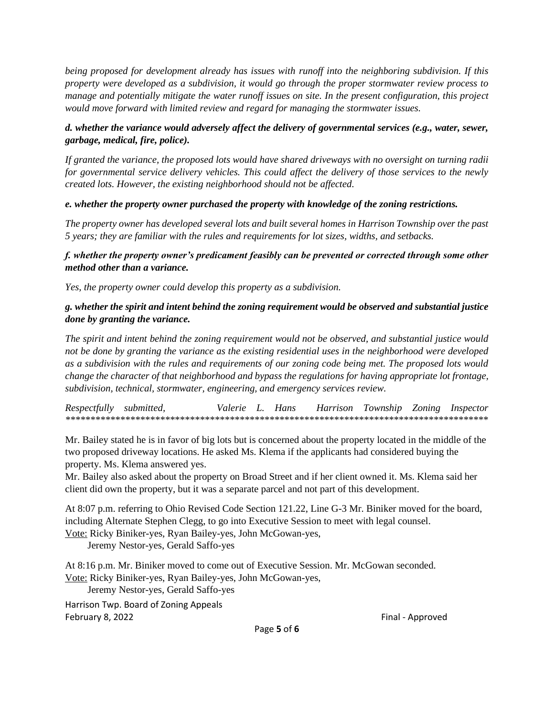*being proposed for development already has issues with runoff into the neighboring subdivision. If this property were developed as a subdivision, it would go through the proper stormwater review process to manage and potentially mitigate the water runoff issues on site. In the present configuration, this project would move forward with limited review and regard for managing the stormwater issues.*

# *d. whether the variance would adversely affect the delivery of governmental services (e.g., water, sewer, garbage, medical, fire, police).*

*If granted the variance, the proposed lots would have shared driveways with no oversight on turning radii for governmental service delivery vehicles. This could affect the delivery of those services to the newly created lots. However, the existing neighborhood should not be affected.*

# *e. whether the property owner purchased the property with knowledge of the zoning restrictions.*

*The property owner has developed several lots and built several homes in Harrison Township over the past 5 years; they are familiar with the rules and requirements for lot sizes, widths, and setbacks.*

## *f. whether the property owner's predicament feasibly can be prevented or corrected through some other method other than a variance.*

*Yes, the property owner could develop this property as a subdivision.*

# *g. whether the spirit and intent behind the zoning requirement would be observed and substantial justice done by granting the variance.*

*The spirit and intent behind the zoning requirement would not be observed, and substantial justice would not be done by granting the variance as the existing residential uses in the neighborhood were developed as a subdivision with the rules and requirements of our zoning code being met. The proposed lots would change the character of that neighborhood and bypass the regulations for having appropriate lot frontage, subdivision, technical, stormwater, engineering, and emergency services review.*

*Respectfully submitted, Valerie L. Hans Harrison Township Zoning Inspector \*\*\*\*\*\*\*\*\*\*\*\*\*\*\*\*\*\*\*\*\*\*\*\*\*\*\*\*\*\*\*\*\*\*\*\*\*\*\*\*\*\*\*\*\*\*\*\*\*\*\*\*\*\*\*\*\*\*\*\*\*\*\*\*\*\*\*\*\*\*\*\*\*\*\*\*\*\*\*\*\*\*\*\*\**

Mr. Bailey stated he is in favor of big lots but is concerned about the property located in the middle of the two proposed driveway locations. He asked Ms. Klema if the applicants had considered buying the property. Ms. Klema answered yes.

Mr. Bailey also asked about the property on Broad Street and if her client owned it. Ms. Klema said her client did own the property, but it was a separate parcel and not part of this development.

At 8:07 p.m. referring to Ohio Revised Code Section 121.22, Line G-3 Mr. Biniker moved for the board, including Alternate Stephen Clegg, to go into Executive Session to meet with legal counsel. Vote: Ricky Biniker-yes, Ryan Bailey-yes, John McGowan-yes,

Jeremy Nestor-yes, Gerald Saffo-yes

At 8:16 p.m. Mr. Biniker moved to come out of Executive Session. Mr. McGowan seconded. Vote: Ricky Biniker-yes, Ryan Bailey-yes, John McGowan-yes,

Jeremy Nestor-yes, Gerald Saffo-yes

Harrison Twp. Board of Zoning Appeals February 8, 2022 Final - Approved

Page **5** of **6**